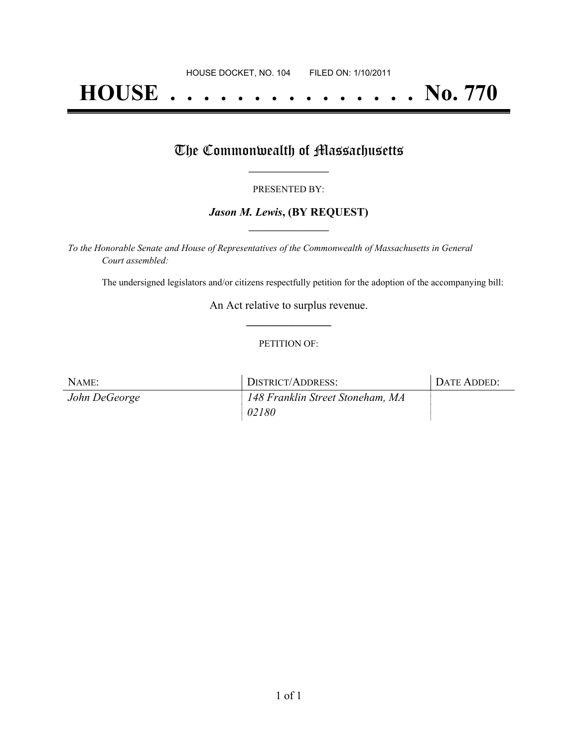# **HOUSE . . . . . . . . . . . . . . . No. 770**

### The Commonwealth of Massachusetts

#### PRESENTED BY:

#### *Jason M. Lewis***, (BY REQUEST) \_\_\_\_\_\_\_\_\_\_\_\_\_\_\_\_\_**

*To the Honorable Senate and House of Representatives of the Commonwealth of Massachusetts in General Court assembled:*

The undersigned legislators and/or citizens respectfully petition for the adoption of the accompanying bill:

An Act relative to surplus revenue. **\_\_\_\_\_\_\_\_\_\_\_\_\_\_\_**

#### PETITION OF:

| NAME:         | DISTRICT/ADDRESS:                | DATE ADDED: |
|---------------|----------------------------------|-------------|
| John DeGeorge | 148 Franklin Street Stoneham, MA |             |
|               | 02180                            |             |